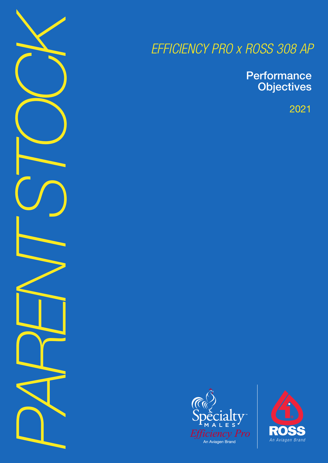*PARENT STOCK*

## *EFFICIENCY PRO x ROSS 308 AP*

**Performance Objectives** 

2021



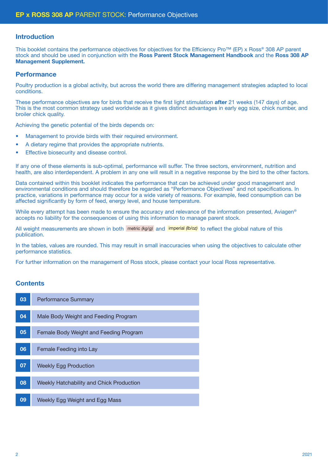### Introduction

This booklet contains the performance objectives for objectives for the Efficiency Pro™ (EP) x Ross® 308 AP parent stock and should be used in conjunction with the Ross Parent Stock Management Handbook and the Ross 308 AP Management Supplement.

### Performance

Poultry production is a global activity, but across the world there are differing management strategies adapted to local conditions.

These performance objectives are for birds that receive the first light stimulation **after** 21 weeks (147 days) of age. This is the most common strategy used worldwide as it gives distinct advantages in early egg size, chick number, and broiler chick quality.

Achieving the genetic potential of the birds depends on:

- Management to provide birds with their required environment.
- A dietary regime that provides the appropriate nutrients.
- **Effective biosecurity and disease control.**

If any one of these elements is sub-optimal, performance will suffer. The three sectors, environment, nutrition and health, are also interdependent. A problem in any one will result in a negative response by the bird to the other factors.

Data contained within this booklet indicates the performance that can be achieved under good management and environmental conditions and should therefore be regarded as "Performance Objectives" and not specifications. In practice, variations in performance may occur for a wide variety of reasons. For example, feed consumption can be affected significantly by form of feed, energy level, and house temperature.

While every attempt has been made to ensure the accuracy and relevance of the information presented, Aviagen® accepts no liability for the consequences of using this information to manage parent stock.

All weight measurements are shown in both metric (kg/g) and imperial (b/oz) to reflect the global nature of this publication.

In the tables, values are rounded. This may result in small inaccuracies when using the objectives to calculate other performance statistics.

For further information on the management of Ross stock, please contact your local Ross representative.

### **Contents**

| 03 | <b>Performance Summary</b>               |  |  |  |  |  |  |  |  |
|----|------------------------------------------|--|--|--|--|--|--|--|--|
| 04 | Male Body Weight and Feeding Program     |  |  |  |  |  |  |  |  |
| 05 | Female Body Weight and Feeding Program   |  |  |  |  |  |  |  |  |
| 06 | Female Feeding into Lay                  |  |  |  |  |  |  |  |  |
| 07 | <b>Weekly Egg Production</b>             |  |  |  |  |  |  |  |  |
| 08 | Weekly Hatchability and Chick Production |  |  |  |  |  |  |  |  |
| 09 | Weekly Egg Weight and Egg Mass           |  |  |  |  |  |  |  |  |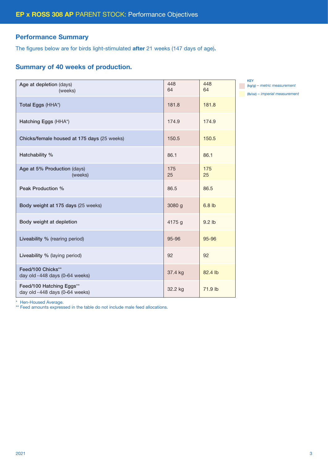### Performance Summary

The figures below are for birds light-stimulated after 21 weeks (147 days of age).

### Summary of 40 weeks of production.

| Age at depletion (days)<br>(weeks)                         | 448<br>64 | 448<br>64 |
|------------------------------------------------------------|-----------|-----------|
| Total Eggs (HHA*)                                          | 181.8     | 181.8     |
| Hatching Eggs (HHA*)                                       | 174.9     | 174.9     |
| Chicks/female housed at 175 days (25 weeks)                | 150.5     | 150.5     |
| Hatchability %                                             | 86.1      | 86.1      |
| Age at 5% Production (days)<br>(weeks)                     | 175<br>25 | 175<br>25 |
| Peak Production %                                          | 86.5      | 86.5      |
| Body weight at 175 days (25 weeks)                         | 3080 g    | $6.8$ lb  |
| Body weight at depletion                                   | 4175 g    | $9.2$ lb  |
| Liveability % (rearing period)                             | 95-96     | 95-96     |
| Liveability % (laying period)                              | 92        | 92        |
| Feed/100 Chicks**<br>day old -448 days (0-64 weeks)        | 37.4 kg   | 82.4 lb   |
| Feed/100 Hatching Eggs**<br>day old -448 days (0-64 weeks) | 32.2 kg   | 71.9 lb   |

KEY (kg/g) *– metric measurement* (lb/oz) *– imperial measurement*

\* Hen-Housed Average.

\*\* Feed amounts expressed in the table do not include male feed allocations.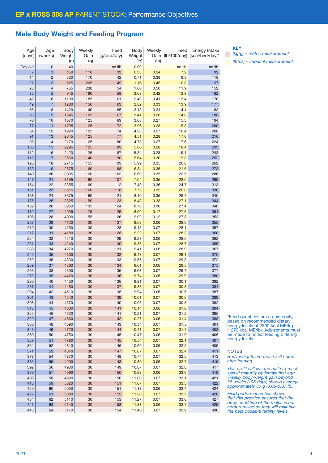### Male Body Weight and Feeding Program

| Age            | Age            | Body   | Weekly | Feed         | Body   | Weekly | Feed                            | Energy Intake    |
|----------------|----------------|--------|--------|--------------|--------|--------|---------------------------------|------------------|
| (days)         | (weeks)        | Weight | Gain   | (g/bird/day) | Weight | Gain   | $(\frac{1}{100}/\frac{day}{x})$ | (kcal/bird/day)* |
|                |                | (g)    | (g)    |              | (lb)   | (Ib)   |                                 |                  |
| Day old        | $\mathbf 0$    | 40     |        | ad lib       | 0.09   |        | ad lib                          | ad lib           |
| $\overline{7}$ | 1              | 150    | 110    | 33           | 0.33   | 0.24   | 7.2                             | 92               |
| 14             | $\overline{c}$ | 320    | 170    | 42           | 0.71   | 0.38   | 9.3                             | 118              |
| 21             | 3              | 525    | 205    | 49           | 1.16   | 0.45   | 10.8                            | 137              |
| 28             |                |        |        |              |        |        |                                 |                  |
|                | 4              | 755    | 230    | 54           | 1.66   | 0.50   | 11.9                            | 152              |
| 35             | 5              | 945    | 190    | 58           | 2.08   | 0.42   | 12.8                            | 162              |
| 42             | 6              | 1130   | 185    | 61           | 2.49   | 0.41   | 13.4                            | 170              |
| 49             | $\overline{7}$ | 1280   | 150    | 63           | 2.82   | 0.33   | 13.9                            | 177              |
| 56             | 8              | 1420   | 140    | 65           | 3.13   | 0.31   | 14.4                            | 183              |
| 63             | 9              | 1545   | 125    | 67           | 3.41   | 0.28   | 14.8                            | 188              |
| 70             | 10             | 1670   | 125    | 69           | 3.68   | 0.27   | 15.3                            | 194              |
| 77             | 11             | 1795   | 125    | 72           | 3.96   | 0.28   | 15.8                            | 200              |
| 84             | 12             | 1920   | 125    | 74           | 4.23   | 0.27   | 16.4                            | 208              |
| 91             | 13             | 2045   | 125    | 77           |        |        |                                 | 216              |
|                |                |        |        |              | 4.51   | 0.28   | 17.0                            |                  |
| 98             | 14             | 2170   | 125    | 80           | 4.78   | 0.27   | 17.6                            | 224              |
| 105            | 15             | 2295   | 125    | 83           | 5.06   | 0.28   | 18.4                            | 233              |
| 112            | 16             | 2420   | 125    | 87           | 5.34   | 0.28   | 19.1                            | 243              |
| 119            | 17             | 2560   | 140    | 90           | 5.64   | 0.30   | 19.8                            | 252              |
| 126            | 18             | 2715   | 155    | 93           | 5.99   | 0.35   | 20.6                            | 262              |
| 133            | 19             | 2875   | 160    | 98           | 6.34   | 0.35   | 21.5                            | 273              |
| 140            | 20             | 3035   | 160    | 102          | 6.69   | 0.35   | 22.5                            | 286              |
| 147            | 21             | 3195   | 160    | 107          | 7.04   | 0.35   | 23.5                            | 299              |
|                |                |        |        |              |        |        |                                 |                  |
| 154            | 22             | 3355   | 160    | 112          | 7.40   | 0.36   | 24.7                            | 313              |
| 161            | 23             | 3515   | 160    | 118          | 7.75   | 0.35   | 26.0                            | 330              |
| 168            | 24             | 3675   | 160    | 121          | 8.10   | 0.35   | 26.7                            | 340              |
| 175            | 25             | 3825   | 150    | 123          | 8.43   | 0.33   | 27.1                            | 344              |
| 182            | 26             | 3960   | 135    | 124          | 8.73   | 0.30   | 27.4                            | 348              |
| 189            | 27             | 4035   | 75     | 125          | 8.90   | 0.17   | 27.6                            | 351              |
| 196            | 28             | 4090   | 55     | 126          | 9.02   | 0.12   | 27.8                            | 353              |
| 203            | 29             | 4120   | 30     | 127          | 9.08   | 0.06   | 28.0                            | 355              |
| 210            | 30             | 4150   | 30     | 128          | 9.15   | 0.07   | 28.1                            | 357              |
| 217            | 31             | 4180   | 30     | 128          | 9.22   | 0.07   | 28.3                            | 360              |
|                |                |        |        |              |        |        |                                 |                  |
| 224            | 32             | 4210   | 30     | 129          | 9.28   | 0.06   | 28.5                            | 362              |
| 231            | 33             | 4240   | 30     | 130          | 9.35   | 0.07   | 28.7                            | 365              |
| 238            | 34             | 4270   | 30     | 131          | 9.41   | 0.06   | 28.9                            | 367              |
| 245            | 35             | 4300   | 30     | 132          | 9.48   | 0.07   | 29.1                            | 370              |
| 252            | 36             | 4330   | 30     | 133          | 9.55   | 0.07   | 29.3                            | 372              |
| 259            | 37             | 4360   | 30     | 134          | 9.61   | 0.06   | 29.5                            | 375              |
| 266            | 38             | 4390   | 30     | 135          | 9.68   | 0.07   | 29.7                            | 377              |
| 273            | 39             | 4420   | 30     | 136          | 9.74   | 0.06   | 29.9                            | 380              |
| 280            | 40             | 4450   | 30     | 136          | 9.81   | 0.07   | 30.1                            | 382              |
| 287            | 41             | 4480   | 30     | 137          | 9.88   | 0.07   | 30.3                            | 384              |
|                |                |        |        |              |        |        |                                 |                  |
| 294            | 42             | 4510   | 30     | 138          | 9.94   | 0.06   | 30.5                            | 387              |
| 301            | 43             | 4540   | 30     | 139          | 10.01  | 0.07   | 30.6                            | 389              |
| 308            | 44             | 4570   | 30     | 140          | 10.08  | 0.07   | 30.8                            | 392              |
| 315            | 45             | 4600   | 30     | 141          | 10.14  | 0.06   | 31.0                            | 394              |
| 322            | 46             | 4630   | 30     | 141          | 10.21  | 0.07   | 31.2                            | 396              |
| 329            | 47             | 4660   | 30     | 142          | 10.27  | 0.06   | 31.4                            | 398              |
| 336            | 48             | 4690   | 30     | 143          | 10.34  | 0.07   | 31.5                            | 401              |
| 343            | 49             | 4720   | 30     | 144          | 10.41  | 0.07   | 31.7                            | 403              |
| 350            | 50             | 4750   | 30     | 145          | 10.47  | 0.06   | 31.9                            | 405              |
| 357            | 51             | 4780   | 30     | 145          | 10.54  | 0.07   | 32.1                            | 407              |
| 364            | 52             | 4810   | 30     | 146          | 10.60  | 0.06   | 32.2                            | 409              |
|                |                |        |        |              |        |        |                                 |                  |
| 371            | 53             | 4840   | 30     | 147          | 10.67  | 0.07   | 32.4                            | 411              |
| 378            | 54             | 4870   | 30     | 148          | 10.74  | 0.07   | 32.5                            | 413              |
| 385            | 55             | 4900   | 30     | 148          | 10.80  | 0.06   | 32.7                            | 415              |
| 392            | 56             | 4930   | 30     | 149          | 10.87  | 0.07   | 32.8                            | 417              |
| 399            | 57             | 4960   | 30     | 150          | 10.93  | 0.06   | 33.0                            | 419              |
| 406            | 58             | 4990   | 30     | 150          | 11.00  | 0.07   | 33.1                            | 421              |
| 413            | 59             | 5020   | 30     | 151          | 11.07  | 0.07   | 33.3                            | 422              |
| 420            | 60             | 5050   | 30     | 151          | 11.13  | 0.06   | 33.4                            | 424              |
| 427            | 61             | 5080   | 30     | 152          | 11.20  | 0.07   | 33.5                            | 426              |
| 434            | 62             | 5110   | 30     | 153          | 11.27  | 0.07   | 33.6                            | 427              |
| 441            | 63             | 5140   | 30     | 153          | 11.33  | 0.06   | 33.7                            | 429              |
|                |                |        |        |              |        |        |                                 |                  |
| 448            | 64             | 5170   | 30     | 154          | 11.40  | 0.07   | 33.9                            | 430              |

KEY

*(kg/g) – metric measurement (lb/oz) – imperial measurement*

\*Feed quantities are a guide only, based on recommended dietary energy levels of 2800 kcal ME/kg (1270 kcal ME/lb). Adjustments must be made to reflect feeding differing energy levels.

### **NOTES**

*Body weights are those 4-6 hours after feeding.*

*This profile allows the male to reach sexual maturity by female first egg. Weekly body-weight gain beyond 28 weeks (196 days) should average approximately 30 g (0.06-0.07 lb).*

*Field performance has shown that this practice ensures that the body condition of the males is not compromised so they will maintain the best possible fertility levels.*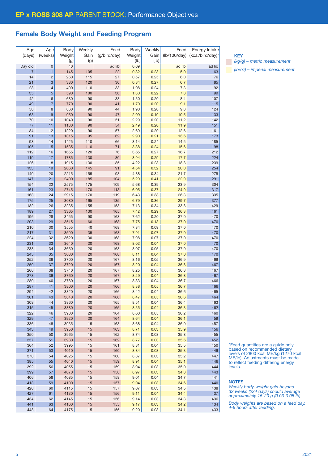### Female Body Weight and Feeding Program

| Age            | Age            | <b>Body</b> | Weekly | Feed         | <b>Body</b> | Weekly | Feed         | Energy Intake    |
|----------------|----------------|-------------|--------|--------------|-------------|--------|--------------|------------------|
| (days)         | (weeks)        | Weight      | Gain   | (g/bird/day) | Weight      | Gain   | (lb/100/day) | (kcal/bird/day)* |
|                |                | (g)         | (g)    |              | (Ib)        | (lb)   |              |                  |
| Day old        | $\mathbf 0$    | 40          |        | ad lib       | 0.09        |        | ad lib       | ad lib           |
| $\overline{7}$ | 1              | 145         | 105    | 22           | 0.32        | 0.23   | 5.0          | 63               |
|                |                |             |        |              |             |        |              |                  |
| 14             | $\overline{c}$ | 260         | 115    | 27           | 0.57        | 0.25   | 6.0          | 76               |
| 21             | 3              | 380         | 120    | 30           | 0.84        | 0.27   | 6.7          | 85               |
| 28             | 4              | 490         | 110    | 33           | 1.08        | 0.24   | 7.3          | 92               |
| 35             | 5              | 590         | 100    | 36           | $1.30$      | 0.22   | 7.8          | 99               |
| 42             | 6              | 680         | 90     | 38           | 1.50        | 0.20   | 8.4          | 107              |
| 49             | $\overline{7}$ | 770         | 90     | 41           | 1.70        | 0.20   | 9.1          | 115              |
| 56             | 8              | 860         | 90     | 44           | 1.90        | 0.20   | 9.8          | 124              |
|                |                |             |        |              |             |        |              |                  |
| 63             | $\overline{9}$ | 950         | 90     | 47           | 2.09        | 0.19   | 10.5         | 133              |
| 70             | 10             | 1040        | 90     | 51           | 2.29        | 0.20   | 11.2         | 142              |
| 77             | 11             | 1130        | 90     | 54           | 2.49        | 0.20   | 11.9         | 151              |
| 84             | 12             | 1220        | 90     | 57           | 2.69        | 0.20   | 12.6         | 161              |
| 91             | 13             | 1315        | 95     | 62           | 2.90        | 0.21   | 13.6         | 173              |
| 98             | 14             | 1425        | 110    | 66           | 3.14        | 0.24   | 14.5         | 185              |
| 105            | 15             | 1535        | 110    | 71           | 3.38        | 0.24   | 15.6         | 198              |
|                |                |             |        |              |             |        |              |                  |
| 112            | 16             | 1655        | 120    | 76           | 3.65        | 0.27   | 16.7         | 212              |
| 119            | 17             | 1785        | 130    | 80           | 3.94        | 0.29   | 17.7         | 224              |
| 126            | 18             | 1915        | 130    | 85           | 4.22        | 0.28   | 18.8         | 239              |
| 133            | 19             | 2060        | 145    | 91           | 4.54        | 0.32   | 20.0         | 254              |
| 140            | 20             | 2215        | 155    | 98           | 4.88        | 0.34   | 21.7         | 275              |
| 147            | 21             | 2400        | 185    | 104          | 5.29        | 0.41   | 22.9         | 291              |
| 154            | 22             | 2575        | 175    | 109          | 5.68        | 0.39   | 23.9         | 304              |
|                |                |             |        |              |             |        |              | 317              |
| 161            | 23             | 2745        | 170    | 113          | 6.05        | 0.37   | 24.9         |                  |
| 168            | 24             | 2915        | 170    | 119          | 6.43        | 0.38   | 26.3         | 335              |
| 175            | 25             | 3080        | 165    | 135          | 6.79        | 0.36   | 29.7         | 377              |
| 182            | 26             | 3235        | 155    | 153          | 7.13        | 0.34   | 33.8         | 429              |
| 189            | 27             | 3365        | 130    | 165          | 7.42        | 0.29   | 36.3         | 461              |
| 196            | 28             | 3455        | 90     | 168          | 7.62        | 0.20   | 37.0         | 470              |
| 203            | 29             | 3515        | 60     | 168          | 7.75        | 0.13   | 37.0         | 470              |
| 210            | 30             | 3555        | 40     | 168          | 7.84        | 0.09   | 37.0         | 470              |
| 217            | 31             | 3590        | 35     | 168          | 7.91        | 0.07   | 37.0         | 470              |
|                |                |             |        |              |             |        |              |                  |
| 224            | 32             | 3620        | 30     | 168          | 7.98        | 0.07   | 37.0         | 470              |
| 231            | 33             | 3640        | 20     | 168          | 8.02        | 0.04   | 37.0         | 470              |
| 238            | 34             | 3660        | 20     | 168          | 8.07        | 0.05   | 37.0         | 470              |
| 245            | 35             | 3680        | 20     | 168          | 8.11        | 0.04   | 37.0         | 470              |
| 252            | 36             | 3700        | 20     | 167          | 8.16        | 0.05   | 36.9         | 469              |
| 259            | 37             | 3720        | 20     | 167          | 8.20        | 0.04   | 36.8         | 467              |
| 266            | 38             | 3740        | 20     | 167          | 8.25        | 0.05   | 36.8         | 467              |
| 273            | 39             | 3760        | 20     | 167          | 8.29        | 0.04   | 36.8         | 467              |
|                |                |             |        |              |             |        |              |                  |
| 280            | 40             | 3780        | 20     | 167          | 8.33        | 0.04   | 36.7         | 466              |
| 287            | 41             | 3800        | 20     | 166          | 8.38        | 0.05   | 36.7         | 466              |
| 294            | 42             | 3820        | 20     | 166          | 8.42        | 0.04   | 36.6         | 465              |
| 301            | 43             | 3840        | 20     | 166          | 8.47        | 0.05   | 36.6         | 464              |
| 308            | 44             | 3860        | 20     | 165          | 8.51        | 0.04   | 36.4         | 463              |
| 315            | 45             | 3880        | 20     | 165          | 8.55        | 0.04   | 36.3         | 462              |
| 322            | 46             | 3900        | 20     | 164          | 8.60        | 0.05   | 36.2         | 460              |
| 329            | 47             | 3920        | 20     | 164          | 8.64        | 0.04   | 36.1         | 459              |
| 336            | 48             | 3935        | 15     | 163          | 8.68        | 0.04   | 36.0         | 457              |
|                |                |             |        |              |             |        |              |                  |
| 343            | 49             | 3950        | 15     | 163          | 8.71        | 0.03   | 35.9         | 456              |
| 350            | 50             | 3965        | 15     | 162          | 8.74        | 0.03   | 35.8         | 455              |
| 357            | 51             | 3980        | 15     | 162          | 8.77        | 0.03   | 35.6         | 452              |
| 364            | 52             | 3995        | 15     | 161          | 8.81        | 0.04   | 35.5         | 450              |
| 371            | 53             | 4010        | 15     | 160          | 8.84        | 0.03   | 35.3         | 449              |
| 378            | 54             | 4025        | 15     | 160          | 8.87        | 0.03   | 35.2         | 447              |
| 385            | 55             | 4040        | 15     | 159          | 8.91        | 0.04   | 35.1         | 446              |
| 392            | 56             | 4055        | 15     | 159          | 8.94        | 0.03   | 35.0         | 444              |
|                |                |             |        |              |             |        |              |                  |
| 399            | 57             | 4070        | 15     | 158          | 8.97        | 0.03   | 34.8         | 443              |
| 406            | 58             | 4085        | 15     | 158          | 9.01        | 0.04   | 34.7         | 441              |
| 413            | 59             | 4100        | 15     | 157          | 9.04        | 0.03   | 34.6         | 440              |
| 420            | 60             | 4115        | 15     | 157          | 9.07        | 0.03   | 34.5         | 438              |
| 427            | 61             | 4130        | 15     | 156          | 9.11        | 0.04   | 34.4         | 437              |
| 434            | 62             | 4145        | 15     | 156          | 9.14        | 0.03   | 34.3         | 436              |
| 441            | 63             | 4160        | 15     | 155          | 9.17        | 0.03   | 34.2         | 434              |
| 448            | 64             | 4175        | 15     | 155          | 9.20        | 0.03   | 34.1         | 433              |
|                |                |             |        |              |             |        |              |                  |

**KEY** 

*(kg/g) – metric measurement (lb/oz) – imperial measurement*

\*Feed quantities are a guide only, based on recommended dietary levels of 2800 kcal ME/kg (1270 kcal ME/lb). Adjustments must be made to reflect feeding differing energy levels.

### NOTES

*Weekly body-weight gain beyond 32 weeks (224 days) should average approximately 15-20 g (0.03-0.05 lb).* 

*Body weights are based on a feed day, 4-6 hours after feeding.*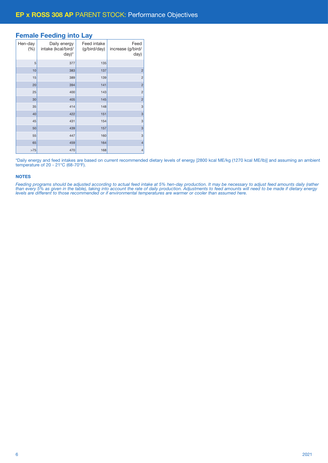### Female Feeding into Lay

| Hen-day<br>(% ) | Daily energy<br>intake (kcal/bird/<br>$day)^*$ | Feed intake<br>(g/bird/day) | Feed<br>increase (g/bird/<br>day) |
|-----------------|------------------------------------------------|-----------------------------|-----------------------------------|
| 5               | 377                                            | 135                         |                                   |
| 10              | 383                                            | 137                         | $\overline{c}$                    |
| 15              | 389                                            | 139                         | $\overline{2}$                    |
| 20              | 394                                            | 141                         | $\overline{c}$                    |
| 25              | 400                                            | 143                         | $\overline{c}$                    |
| 30              | 405                                            | 145                         | $\overline{2}$                    |
| 35              | 414                                            | 148                         | 3                                 |
| 40              | 422                                            | 151                         | 3                                 |
| 45              | 431                                            | 154                         | 3                                 |
| 50              | 439                                            | 157                         | 3                                 |
| 55              | 447                                            | 160                         | 3                                 |
| 65              | 459                                            | 164                         | $\overline{4}$                    |
| >75             | 470                                            | 168                         | $\overline{4}$                    |

\*Daily energy and feed intakes are based on current recommended dietary levels of energy [2800 kcal ME/kg (1270 kcal ME/lb)] and assuming an ambient temperature of 20 - 21°C (68-70°F).

### **NOTES**

*Feeding programs should be adjusted according to actual feed intake at 5% hen-day production. It may be necessary to adjust feed amounts daily (rather than every 5% as given in the table), taking into account the rate of daily production. Adjustments to feed amounts will need to be made if dietary energy levels are different to those recommended or if environmental temperatures are warmer or cooler than assumed here.*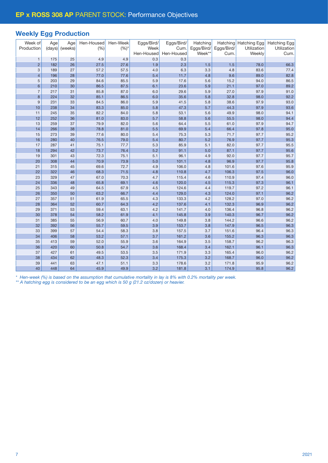### Weekly Egg Production

| Week of<br>Production          | Age        | Age      | Hen-Housed | Hen-Week | Eggs/Bird/<br>Week | Eggs/Bird/<br>Cum. | Hatching             | Hatching           | <b>Hatching Egg</b><br>Utilization | Hatching Egg<br>Utilization |
|--------------------------------|------------|----------|------------|----------|--------------------|--------------------|----------------------|--------------------|------------------------------------|-----------------------------|
|                                | (days)     | (weeks)  | (% )       | $(%)^*$  | Hen-Housed         | Hen-Housed         | Eggs/Bird/<br>Week** | Eggs/Bird/<br>Cum. | Weekly                             | Cum.                        |
|                                |            |          | 4.9        | 4.9      | 0.3                | 0.3                |                      |                    |                                    |                             |
| $\mathbf{1}$<br>$\overline{2}$ | 175<br>182 | 25<br>26 | 27.5       | 27.6     | 1.9                | 2.3                | 1.5                  | 1.5                | 78.0                               | 66.3                        |
| 3                              | 189        | 27       | 57.2       | 57.5     | 4.0                | 6.3                | 3.3                  | 4.8                | 83.6                               | 77.4                        |
| $\overline{4}$                 | 196        | 28       | 77.0       | 77.6     | 5.4                | 11.7               | 4.8                  | 9.6                | 89.0                               | 82.8                        |
| $\sqrt{5}$                     | 203        | 29       | 84.6       | 85.5     | 5.9                | 17.6               | 5.6                  | 15.2               | 94.0                               | 86.5                        |
| $6\phantom{1}$                 | 210        | 30       | 86.5       | 87.5     | 6.1                | 23.6               | 5.9                  | 21.1               | 97.0                               | 89.2                        |
| $\overline{7}$                 | 217        | 31       | 85.8       | 87.0     | 6.0                | 29.6               | 5.9                  | 27.0               | 97.9                               | 91.0                        |
| $\bf8$                         | 224        | 32       | 85.1       | 86.5     | 6.0                | 35.6               | 5.8                  | 32.8               | 98.0                               | 92.2                        |
| 9                              | 231        | 33       | 84.5       | 86.0     | 5.9                | 41.5               | 5.8                  | 38.6               | 97.9                               | 93.0                        |
| 10                             | 238        | 34       | 83.3       | 85.0     | 5.8                | 47.3               | 5.7                  | 44.3               | 97.9                               | 93.6                        |
| 11                             | 245        | 35       | 82.2       | 84.0     | 5.8                | 53.1               | 5.6                  | 49.9               | 98.0                               | 94.1                        |
| 12                             | 252        | 36       | 81.0       | 83.0     | 5.7                | 58.8               | 5.6                  | 55.5               | 98.0                               | 94.4                        |
| 13                             | 259        | 37       | 79.9       | 82.0     | 5.6                | 64.4               | 5.5                  | 61.0               | 97.9                               | 94.7                        |
| 14                             | 266        | 38       | 78.8       | 81.0     | 5.5                | 69.9               | 5.4                  | 66.4               | 97.8                               | 95.0                        |
| 15                             | 273        | 39       | 77.6       | 80.0     | 5.4                | 75.3               | 5.3                  | 71.7               | 97.7                               | 95.2                        |
| 16                             | 280        | 40       | 76.5       | 79.0     | 5.4                | 80.7               | 5.2                  | 76.9               | 97.7                               | 95.3                        |
| 17                             | 287        | 41       | 75.1       | 77.7     | 5.3                | 85.9               | 5.1                  | 82.0               | 97.7                               | 95.5                        |
| 18                             | 294        | 42       | 73.7       | 76.4     | 5.2                | 91.1               | 5.0                  | 87.1               | 97.7                               | 95.6                        |
| 19                             | 301        | 43       | 72.3       | 75.1     | 5.1                | 96.1               | 4.9                  | 92.0               | 97.7                               | 95.7                        |
| 20                             | 308        | 44       | 70.9       | 73.9     | 5.0                | 101.1              | 4.8                  | 96.9               | 97.7                               | 95.8                        |
| 21                             | 315        | 45       | 69.6       | 72.7     | 4.9                | 106.0              | 4.8                  | 101.6              | 97.6                               | 95.9                        |
| 22                             | 322        | 46       | 68.3       | 71.5     | 4.8                | 110.8              | 4.7                  | 106.3              | 97.5                               | 96.0                        |
| 23                             | 329        | 47       | 67.0       | 70.3     | 4.7                | 115.4              | 4.6                  | 110.9              | 97.4                               | 96.0                        |
| 24                             | 336        | 48       | 65.8       | 69.1     | 4.6                | 120.0              | 4.5                  | 115.3              | 97.3                               | 96.1                        |
| 25                             | 343        | 49       | 64.5       | 67.9     | 4.5                | 124.6              | 4.4                  | 119.7              | 97.2                               | 96.1                        |
| 26                             | 350        | 50       | 63.2       | 66.7     | 4.4                | 129.0              | 4.3                  | 124.0              | 97.1                               | 96.2                        |
| 27                             | 357        | 51       | 61.9       | 65.5     | 4.3                | 133.3              | 4.2                  | 128.2              | 97.0                               | 96.2                        |
| 28                             | 364        | 52       | 60.7       | 64.3     | 4.2                | 137.6              | 4.1                  | 132.3              | 96.9                               | 96.2                        |
| 29                             | 371        | 53       | 59.4       | 63.1     | 4.2                | 141.7              | 4.0                  | 136.4              | 96.8                               | 96.2                        |
| 30                             | 378        | 54       | 58.2       | 61.9     | 4.1                | 145.8              | 3.9                  | 140.3              | 96.7                               | 96.2                        |
| 31                             | 385        | 55       | 56.9       | 60.7     | 4.0                | 149.8              | 3.8                  | 144.2              | 96.6                               | 96.2                        |
| 32                             | 392        | 56       | 55.7       | 59.5     | 3.9                | 153.7              | 3.8                  | 147.9              | 96.5                               | 96.3                        |
| 33                             | 399        | 57       | 54.4       | 58.3     | 3.8                | 157.5              | 3.7                  | 151.6              | 96.4                               | 96.3                        |
| 34                             | 406        | 58       | 53.2       | 57.1     | 3.7                | 161.2              | 3.6                  | 155.2              | 96.3                               | 96.3                        |
| 35                             | 413        | 59       | 52.0       | 55.9     | 3.6                | 164.9              | 3.5                  | 158.7              | 96.2                               | 96.3                        |
| 36                             | 420        | 60       | 50.8       | 54.7     | 3.6                | 168.4              | 3.4                  | 162.1              | 96.1                               | 96.3                        |
| 37                             | 427        | 61       | 49.5       | 53.5     | 3.5                | 171.9              | 3.3                  | 165.4              | 96.0                               | 96.2                        |
| 38                             | 434        | 62       | 48.3       | 52.3     | 3.4                | 175.3              | 3.2                  | 168.7              | 96.0                               | 96.2                        |
| 39                             | 441        | 63       | 47.1       | 51.1     | 3.3                | 178.6              | 3.2                  | 171.8              | 95.9                               | 96.2                        |
| 40                             | 448        | 64       | 45.9       | 49.9     | 3.2                | 181.8              | 3.1                  | 174.9              | 95.8                               | 96.2                        |

*\* Hen-week (%) is based on the assumption that cumulative mortality in lay is 8% with 0.2% mortality per week.*

*\*\* A hatching egg is considered to be an egg which is 50 g (21.2 oz/dozen) or heavier.*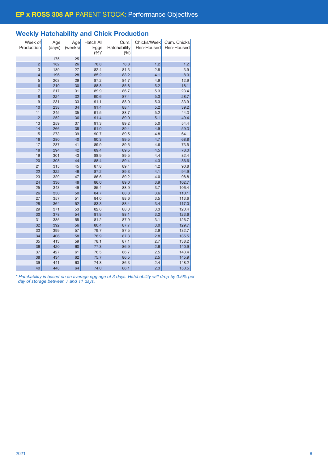### Weekly Hatchability and Chick Production

| Week of<br>Production | Age<br>Age<br>(weeks)<br>(days) |    | Hatch All<br>Eggs<br>$(%)^{*}$ | Cum.<br>Hatchability<br>(% ) | Chicks/Week<br>Hen-Housed | Cum. Chicks<br>Hen-Housed |
|-----------------------|---------------------------------|----|--------------------------------|------------------------------|---------------------------|---------------------------|
| $\mathbf{1}$<br>175   |                                 | 25 |                                |                              |                           |                           |
| $\overline{2}$        | 182                             | 26 | 78.8                           | 78.8                         | 1.2                       | 1.2                       |
| 3                     | 189                             | 27 | 82.4                           | 81.3                         | 2.8                       | 3.9                       |
| $\overline{4}$        | 196                             | 28 | 85.2                           | 83.2                         | 4.1                       | 8.0                       |
| 5                     | 203                             | 29 | 87.2                           | 84.7                         | 4.9                       | 12.9                      |
| $6\phantom{1}6$       | 210                             | 30 | 88.8                           | 85.8                         | 5.2                       | 18.1                      |
| $\overline{7}$        | 217                             | 31 | 89.9                           | 86.7                         | 5.3                       | 23.4                      |
| 8                     | 224                             | 32 | 90.6                           | 87.4                         | 5.3                       | 28.7                      |
| 9                     | 231                             | 33 | 91.1                           | 88.0                         | 5.3                       | 33.9                      |
| 10                    | 238                             | 34 | 91.4                           | 88.4                         | 5.2                       | 39.2                      |
| 11                    | 245                             | 35 | 91.5                           | 88.7                         | 5.2                       | 44.3                      |
| 12                    | 252                             | 36 | 91.4                           | 89.0                         | 5.1                       | 49.4                      |
| 13                    | 259                             | 37 | 91.3                           | 89.2                         | 5.0                       | 54.4                      |
| 14                    | 266                             | 38 | 91.0                           | 89.4                         | 4.9                       | 59.3                      |
| 15                    | 273                             | 39 | 90.7                           | 89.5                         | 4.8                       | 64.1                      |
| 16                    | 280                             | 40 | 90.3                           | 89.5                         | 4.7                       | 68.8                      |
| 17                    | 287                             | 41 | 89.9                           | 89.5                         | 4.6                       | 73.5                      |
| 18                    | 294                             | 42 | 89.4                           | 89.5                         | 4.5                       | 78.0                      |
| 19                    | 301                             | 43 | 88.9                           | 89.5                         | 4.4                       | 82.4                      |
| 20                    | 308                             | 44 | 88.4                           | 89.4                         | 4.3                       | 86.6                      |
| 21                    | 315                             | 45 | 87.8                           | 89.4                         | 4.2                       | 90.8                      |
| 22                    | 322                             | 46 | 87.2                           | 89.3                         | 4.1                       | 94.9                      |
| 23                    | 329                             | 47 | 86.6                           | 89.2                         | 4.0                       | 98.8                      |
| 24                    | 336                             | 48 | 86.0                           | 89.0                         | 3.9                       | 102.7                     |
| 25                    | 343                             | 49 | 85.4                           | 88.9                         | 3.7                       | 106.4                     |
| 26                    | 350                             | 50 | 84.7                           | 88.8                         | 3.6                       | 110.1                     |
| 27                    | 357                             | 51 | 84.0                           | 88.6                         | 3.5                       | 113.6                     |
| 28                    | 364                             | 52 | 83.3                           | 88.4                         | 3.4                       | 117.0                     |
| 29                    | 371                             | 53 | 82.6                           | 88.3                         | 3.3                       | 120.4                     |
| 30                    | 378                             | 54 | 81.9                           | 88.1                         | 3.2                       | 123.6                     |
| 31                    | 385                             | 55 | 81.2                           | 87.9                         | 3.1                       | 126.7                     |
| 32                    | 392                             | 56 | 80.4                           | 87.7                         | 3.0                       | 129.7                     |
| 33                    | 399                             | 57 | 79.7                           | 87.5                         | 2.9                       | 132.7                     |
| 34                    | 406                             | 58 | 78.9                           | 87.3                         | 2.8                       | 135.5                     |
| 35                    | 413                             | 59 | 78.1                           | 87.1                         | 2.7                       | 138.2                     |
| 36                    | 420                             | 60 | 77.3                           | 86.9                         | 2.6                       | 140.9                     |
| 37                    | 427                             | 61 | 76.5                           | 86.7                         | 2.5                       | 143.4                     |
| 38                    | 434                             | 62 | 75.7                           | 86.5                         | 2.5                       | 145.9                     |
| 39                    | 441                             | 63 | 74.8                           | 86.3                         | 2.4                       | 148.2                     |
| 40                    | 448                             | 64 | 74.0                           | 86.1                         | 2.3                       | 150.5                     |

*\* Hatchability is based on an average egg age of 3 days. Hatchability will drop by 0.5% per day of storage between 7 and 11 days.*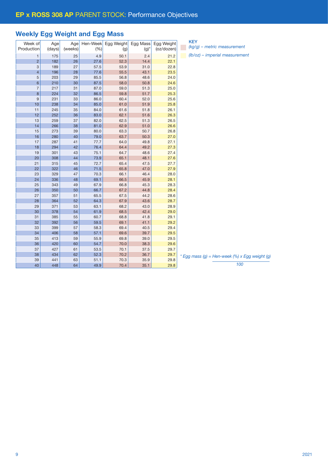### Weekly Egg Weight and Egg Mass

| Week of<br>Production    | Age<br>(days) | Age<br>(weeks) | Hen-Week<br>(% ) | Egg Weight<br>(g) | Egg Mass<br>$(g)^*$ | Egg Weight<br>(oz/dozen) | <b>KEY</b><br>(kg) |
|--------------------------|---------------|----------------|------------------|-------------------|---------------------|--------------------------|--------------------|
| 1                        | 175           | 25             | 4.9              | 50.1              | 2.4                 | 21.2                     | (lb/c)             |
| $\overline{2}$           | 182           | 26             | 27.6             | 52.3              | 14.4                | 22.1                     |                    |
| 3                        | 189           | 27             | 57.5             | 53.9              | 31.0                | 22.8                     |                    |
| $\overline{\mathcal{A}}$ | 196           | 28             | 77.6             | 55.5              | 43.1                | 23.5                     |                    |
| 5                        | 203           | 29             | 85.5             | 56.8              | 48.6                | 24.0                     |                    |
| 6                        | 210           | 30             | 87.5             | 58.0              | 50.8                | 24.6                     |                    |
| $\overline{7}$           | 217           | 31             | 87.0             | 59.0              | 51.3                | 25.0                     |                    |
| 8                        | 224           | 32             | 86.5             | 59.8              | 51.7                | 25.3                     |                    |
| 9                        | 231           | 33             | 86.0             | 60.4              | 52.0                | 25.6                     |                    |
| 10                       | 238           | 34             | 85.0             | 61.0              | 51.9                | 25.8                     |                    |
| 11                       | 245           | 35             | 84.0             | 61.6              | 51.8                | 26.1                     |                    |
| 12                       | 252           | 36             | 83.0             | 62.1              | 51.6                | 26.3                     |                    |
| 13                       | 259           | 37             | 82.0             | 62.5              | 51.3                | 26.5                     |                    |
| 14                       | 266           | 38             | 81.0             | 62.9              | 51.0                | 26.6                     |                    |
| 15                       | 273           | 39             | 80.0             | 63.3              | 50.7                | 26.8                     |                    |
| 16                       | 280           | 40             | 79.0             | 63.7              | 50.3                | 27.0                     |                    |
| 17                       | 287           | 41             | 77.7             | 64.0              | 49.8                | 27.1                     |                    |
| 18                       | 294           | 42             | 76.4             | 64.4              | 49.2                | 27.3                     |                    |
| 19                       | 301           | 43             | 75.1             | 64.7              | 48.6                | 27.4                     |                    |
| 20                       | 308           | 44             | 73.9             | 65.1              | 48.1                | 27.6                     |                    |
| 21                       | 315           | 45             | 72.7             | 65.4              | 47.5                | 27.7                     |                    |
| 22                       | 322           | 46             | 71.5             | 65.8              | 47.0                | 27.9                     |                    |
| 23                       | 329           | 47             | 70.3             | 66.1              | 46.4                | 28.0                     |                    |
| 24                       | 336           | 48             | 69.1             | 66.5              | 45.9                | 28.1                     |                    |
| 25                       | 343           | 49             | 67.9             | 66.8              | 45.3                | 28.3                     |                    |
| 26                       | 350           | 50             | 66.7             | 67.2              | 44.8                | 28.4                     |                    |
| 27                       | 357           | 51             | 65.5             | 67.5              | 44.2                | 28.6                     |                    |
| 28                       | 364           | 52             | 64.3             | 67.9              | 43.6                | 28.7                     |                    |
| 29                       | 371           | 53             | 63.1             | 68.2              | 43.0                | 28.9                     |                    |
| 30                       | 378           | 54             | 61.9             | 68.5              | 42.4                | 29.0                     |                    |
| 31<br>32                 | 385<br>392    | 55<br>56       | 60.7<br>59.5     | 68.8<br>69.1      | 41.8<br>41.1        | 29.1<br>29.2             |                    |
| 33                       | 399           | 57             |                  | 69.4              |                     | 29.4                     |                    |
| 34                       | 406           | 58             | 58.3<br>57.1     | 69.6              | 40.5<br>39.7        | 29.5                     |                    |
| 35                       | 413           | 59             | 55.9             | 69.8              | 39.0                | 29.5                     |                    |
| 36                       | 420           | 60             | 54.7             | 70.0              | 38.3                | 29.6                     |                    |
| 37                       | 427           | 61             | 53.5             | 70.1              | 37.5                | 29.7                     |                    |
| 38                       | 434           | 62             | 52.3             | 70.2              | 36.7                | 29.7                     |                    |
| 39                       | 441           | 63             | 51.1             | 70.3              | 35.9                | 29.8                     | * Egg ma           |
| 40                       | 448           | 64             | 49.9             | 70.4              | 35.1                | 29.8                     |                    |
|                          |               |                |                  |                   |                     |                          |                    |

*(lb/oz) – imperial measurement*

*\* Egg mass (g) = Hen-week (%) x Egg weight (g)*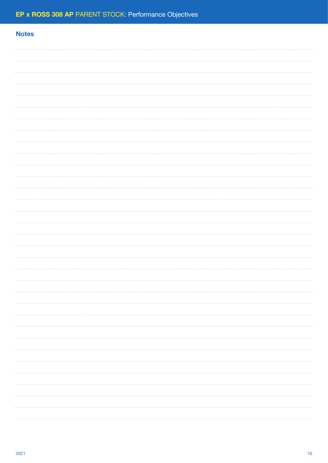# **Notes**  $\cdots$  $\cdots$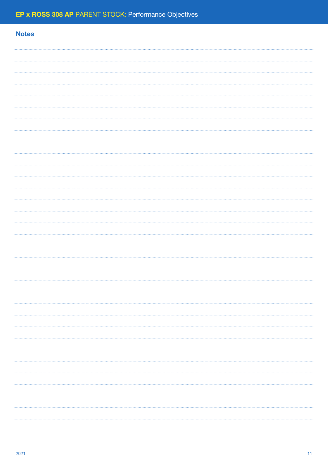## **Notes**  $\cdots$ . . . . . . . . . . . . . . . . .  $\cdots$